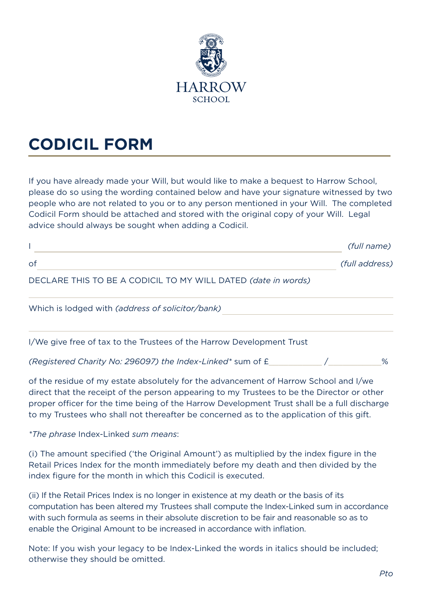

## **CODICIL FORM**

If you have already made your Will, but would like to make a bequest to Harrow School, please do so using the wording contained below and have your signature witnessed by two people who are not related to you or to any person mentioned in your Will. The completed Codicil Form should be attached and stored with the original copy of your Will. Legal advice should always be sought when adding a Codicil.

|                                                                       | (full name)    |
|-----------------------------------------------------------------------|----------------|
| of                                                                    | (full address) |
| DECLARE THIS TO BE A CODICIL TO MY WILL DATED (date in words)         |                |
| Which is lodged with (address of solicitor/bank)                      |                |
| I/We give free of tax to the Trustees of the Harrow Development Trust |                |

*(Registered Charity No: 296097) the Index-Linked\** sum of £\_\_\_\_\_\_\_\_\_\_\_ /\_\_\_\_\_\_\_\_\_\_\_%

of the residue of my estate absolutely for the advancement of Harrow School and I/we direct that the receipt of the person appearing to my Trustees to be the Director or other proper officer for the time being of the Harrow Development Trust shall be a full discharge to my Trustees who shall not thereafter be concerned as to the application of this gift.

*\*The phrase* Index-Linked *sum means*:

(i) The amount specified ('the Original Amount') as multiplied by the index figure in the Retail Prices Index for the month immediately before my death and then divided by the index figure for the month in which this Codicil is executed.

(ii) If the Retail Prices Index is no longer in existence at my death or the basis of its computation has been altered my Trustees shall compute the Index-Linked sum in accordance with such formula as seems in their absolute discretion to be fair and reasonable so as to enable the Original Amount to be increased in accordance with inflation.

Note: If you wish your legacy to be Index-Linked the words in italics should be included; otherwise they should be omitted.